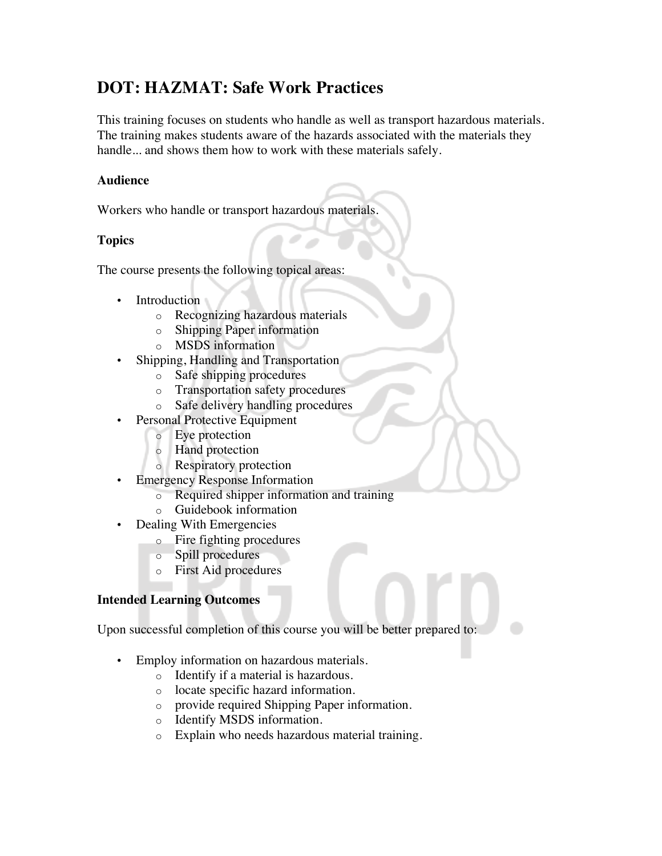# **DOT: HAZMAT: Safe Work Practices**

This training focuses on students who handle as well as transport hazardous materials. The training makes students aware of the hazards associated with the materials they handle... and shows them how to work with these materials safely.

#### **Audience**

Workers who handle or transport hazardous materials.

### **Topics**

The course presents the following topical areas:

- **Introduction** 
	- o Recognizing hazardous materials
	- o Shipping Paper information
	- o MSDS information
- Shipping, Handling and Transportation
	- o Safe shipping procedures
	- o Transportation safety procedures
	- o Safe delivery handling procedures
- Personal Protective Equipment
	- o Eye protection
	- o Hand protection
	- o Respiratory protection
- Emergency Response Information
	- o Required shipper information and training
	- o Guidebook information
- Dealing With Emergencies
	- o Fire fighting procedures
	- o Spill procedures
	- o First Aid procedures

## **Intended Learning Outcomes**

Upon successful completion of this course you will be better prepared to:

- Employ information on hazardous materials.
	- o Identify if a material is hazardous.
	- o locate specific hazard information.
	- o provide required Shipping Paper information.
	- o Identify MSDS information.
	- o Explain who needs hazardous material training.